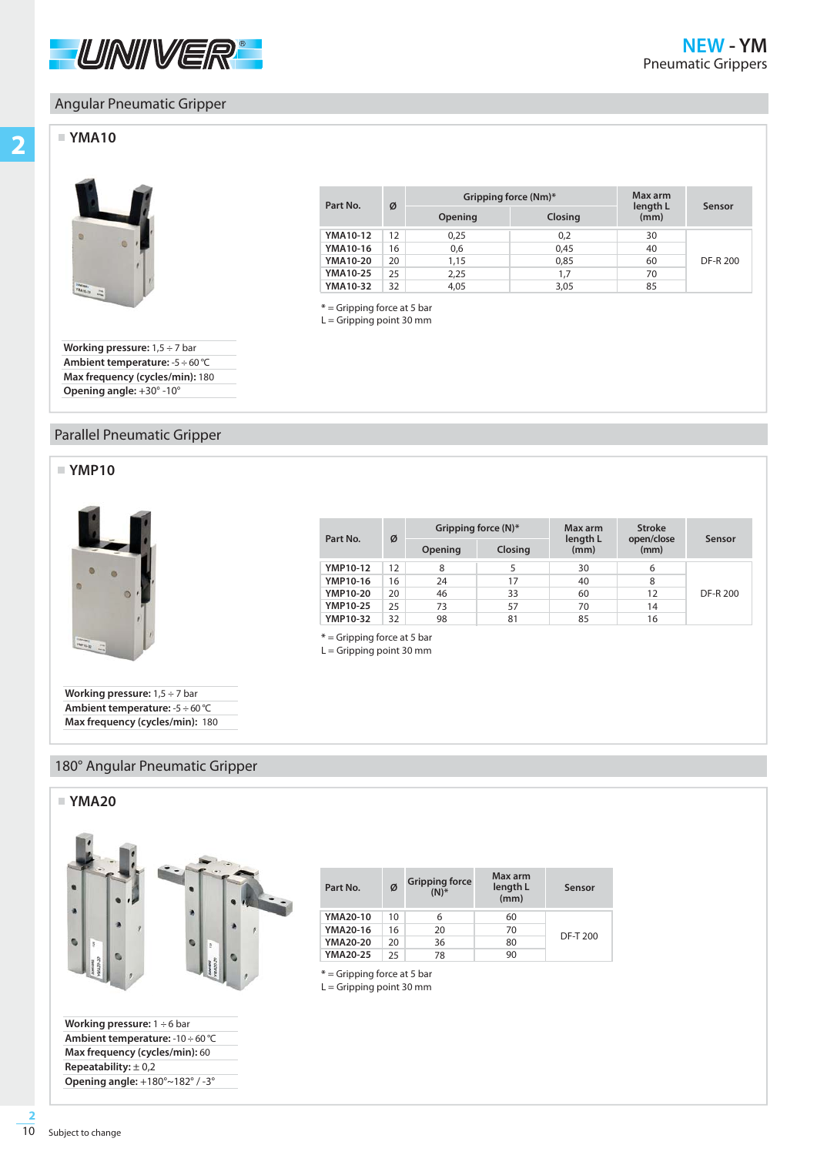

## Angular Pneumatic Gripper

# **2**



| Part No.        | Ø  | Gripping force (Nm)* | Max arm | Sensor           |          |
|-----------------|----|----------------------|---------|------------------|----------|
|                 |    | Opening              | Closing | length L<br>(mm) |          |
| <b>YMA10-12</b> | 12 | 0,25                 | 0,2     | 30               |          |
| YMA10-16        | 16 | 0,6                  | 0,45    | 40               |          |
| <b>YMA10-20</b> | 20 | 1,15                 | 0,85    | 60               | DF-R 200 |
| <b>YMA10-25</b> | 25 | 2,25                 | 1,7     | 70               |          |
| <b>YMA10-32</b> | 32 | 4,05                 | 3,05    | 85               |          |

**\*** = Gripping force at 5 bar

L = Gripping point 30 mm

**Working pressure:** 1,5 ÷ 7 bar **Ambient temperature:** -5 ÷ 60 °C **Max frequency (cycles/min):** <sup>180</sup> **Opening angle:** +30° -10°

#### Parallel Pneumatic Gripper



| Part No.        | Ø  |         | Gripping force (N)* | <b>Stroke</b><br>Max arm<br>open/close<br>length L<br>Sensor |      |          |  |
|-----------------|----|---------|---------------------|--------------------------------------------------------------|------|----------|--|
|                 |    | Opening | Closing             | (mm)                                                         | (mm) |          |  |
| <b>YMP10-12</b> | 12 | 8       |                     | 30                                                           |      |          |  |
| <b>YMP10-16</b> | 16 | 24      | 17                  | 40                                                           |      |          |  |
| <b>YMP10-20</b> | 20 | 46      | 33                  | 60                                                           | 12   | DF-R 200 |  |
| <b>YMP10-25</b> | 25 | 73      | 57                  | 70                                                           | 14   |          |  |
| <b>YMP10-32</b> | 32 | 98      | 81                  | 85                                                           | 16   |          |  |

**x** = Gripping force at 5 bar<br>  $\frac{1}{2}$  = Gripping point 30 mm L = Gripping point 30 mm

 $L =$  Gripping point 30 mm

**Working pressure:** 1,5 ÷ 7 bar **Ambient temperature:** -5 ÷ 60 °C **Max frequency (cycles/min):** <sup>180</sup>

#### 180° Angular Pneumatic Gripper

#### $NMA20$



| Part No.                                                              | Ø  | <b>Gripping force</b><br>$(N)*$ | Max arm<br>length L<br>(mm) | Sensor   |
|-----------------------------------------------------------------------|----|---------------------------------|-----------------------------|----------|
| <b>YMA20-10</b>                                                       | 10 | 6                               | 60                          |          |
| YMA20-16                                                              | 16 | 20                              | 70                          |          |
| <b>YMA20-20</b>                                                       | 20 | 36                              | 80                          | DF-T 200 |
| <b>YMA20-25</b>                                                       | 25 | 78                              | 90                          |          |
| $*$ = Gripping force at 5 bar<br>$L =$ Crinning point $20 \text{ mm}$ |    |                                 |                             |          |

**Working pressure:** 1 ÷ 6 bar **Ambient temperature:** -10 ÷ 60 °C **Max frequency (cycles/min):** <sup>60</sup> **Repeatability:** ± 0,2 **Opening angle:** +180°~182° / -3°

10 **2** Subject to change